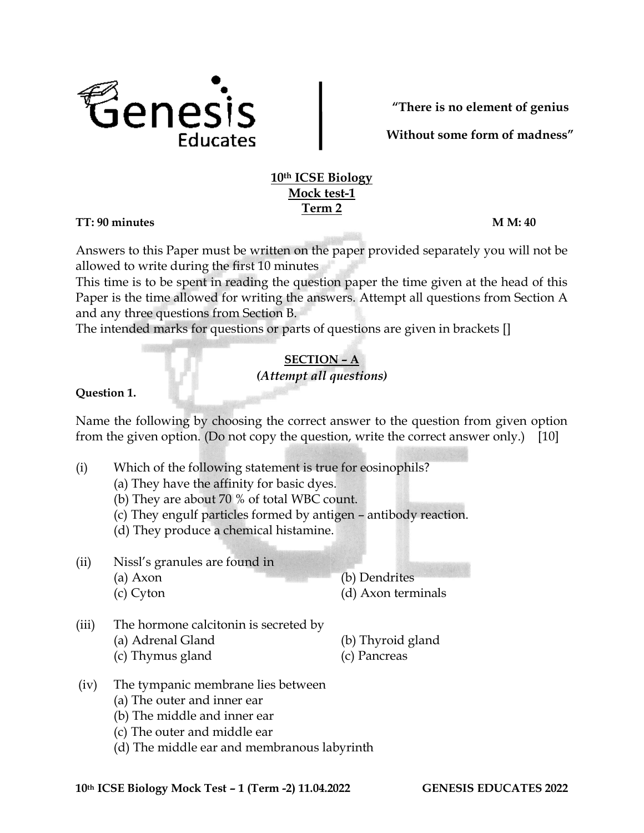

**"There is no element of genius**

 **Without some form of madness"**

## **10th ICSE Biology Mock test-1 Term 2**

**TT: 90 minutes M M: 40**

Answers to this Paper must be written on the paper provided separately you will not be allowed to write during the first 10 minutes

This time is to be spent in reading the question paper the time given at the head of this Paper is the time allowed for writing the answers. Attempt all questions from Section A and any three questions from Section B.

The intended marks for questions or parts of questions are given in brackets []

## **SECTION – A** *(Attempt all questions)*

## **Question 1.**

Name the following by choosing the correct answer to the question from given option from the given option. (Do not copy the question, write the correct answer only.) [10]

- (i) Which of the following statement is true for eosinophils?
	- (a) They have the affinity for basic dyes.
	- (b) They are about 70 % of total WBC count.
	- (c) They engulf particles formed by antigen antibody reaction.
	- (d) They produce a chemical histamine.
- (ii) Nissl's granules are found in
	-

(a) Axon (b) Dendrites

- (c) Cyton (d) Axon terminals
- (iii) The hormone calcitonin is secreted by
	- (a) Adrenal Gland (b) Thyroid gland
		-
	- (c) Thymus gland (c) Pancreas
- (iv) The tympanic membrane lies between
	- (a) The outer and inner ear
	- (b) The middle and inner ear
	- (c) The outer and middle ear
	- (d) The middle ear and membranous labyrinth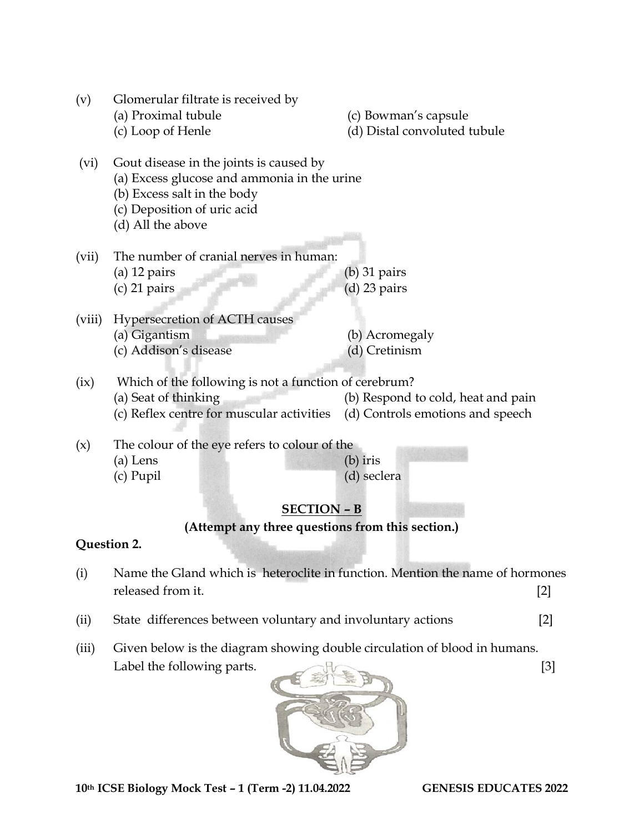| (v)                                                                    | Glomerular filtrate is received by<br>(a) Proximal tubule<br>(c) Loop of Henle                                                                                            | (c) Bowman's capsule<br>(d) Distal convoluted tubule                   |  |  |  |  |
|------------------------------------------------------------------------|---------------------------------------------------------------------------------------------------------------------------------------------------------------------------|------------------------------------------------------------------------|--|--|--|--|
| (vi)                                                                   | Gout disease in the joints is caused by<br>(a) Excess glucose and ammonia in the urine<br>(b) Excess salt in the body<br>(c) Deposition of uric acid<br>(d) All the above |                                                                        |  |  |  |  |
| (vii)                                                                  | The number of cranial nerves in human:<br>$(a)$ 12 pairs<br>$(c)$ 21 pairs                                                                                                | $(b)$ 31 pairs<br>$(d)$ 23 pairs                                       |  |  |  |  |
| (viii)                                                                 | Hypersecretion of ACTH causes<br>(a) Gigantism<br>(c) Addison's disease                                                                                                   | (b) Acromegaly<br>(d) Cretinism                                        |  |  |  |  |
| (ix)                                                                   | Which of the following is not a function of cerebrum?<br>(a) Seat of thinking<br>(c) Reflex centre for muscular activities                                                | (b) Respond to cold, heat and pain<br>(d) Controls emotions and speech |  |  |  |  |
| (x)                                                                    | The colour of the eye refers to colour of the<br>(a) Lens<br>(c) Pupil                                                                                                    | $(b)$ iris<br>(d) seclera                                              |  |  |  |  |
| <b>SECTION - B</b><br>(Attempt any three questions from this section.) |                                                                                                                                                                           |                                                                        |  |  |  |  |
| Question 2.                                                            |                                                                                                                                                                           |                                                                        |  |  |  |  |
| (i)                                                                    | Name the Gland which is heteroclite in function. Mention the name of hormones<br>released from it.<br>$[2]$                                                               |                                                                        |  |  |  |  |
| (ii)                                                                   | State differences between voluntary and involuntary actions<br>[2]                                                                                                        |                                                                        |  |  |  |  |

- 
- (iii) Given below is the diagram showing double circulation of blood in humans. Label the following parts. [3]



**10th ICSE Biology Mock Test – 1 (Term -2) 11.04.2022 GENESIS EDUCATES 2022**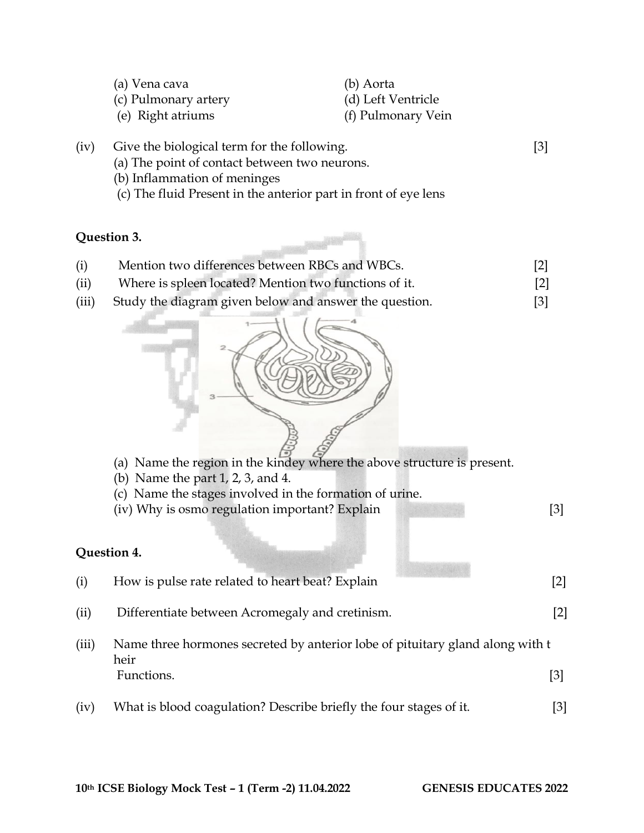| (a) Vena cava        | (b) Aorta          |
|----------------------|--------------------|
| (c) Pulmonary artery | (d) Left Ventricle |
| (e) Right atriums    | (f) Pulmonary Vein |

- (iv) Give the biological term for the following. [3] (a) The point of contact between two neurons.
	- (b) Inflammation of meninges
	- (c) The fluid Present in the anterior part in front of eye lens

## **Question 3.**

- (i) Mention two differences between RBCs and WBCs. [2]
- (ii) Where is spleen located? Mention two functions of it. [2]
- (iii) Study the diagram given below and answer the question. [3]



- (a) Name the region in the kindey where the above structure is present.
- (b) Name the part 1, 2, 3, and 4.
- (c) Name the stages involved in the formation of urine.
- (iv) Why is osmo regulation important? Explain [3]

## **Question 4.**

| (i)   | How is pulse rate related to heart beat? Explain                                                    | $[2]$ |
|-------|-----------------------------------------------------------------------------------------------------|-------|
| (ii)  | Differentiate between Acromegaly and cretinism.                                                     | $[2]$ |
| (iii) | Name three hormones secreted by anterior lobe of pituitary gland along with t<br>heir<br>Functions. |       |
| (iv)  | What is blood coagulation? Describe briefly the four stages of it.                                  |       |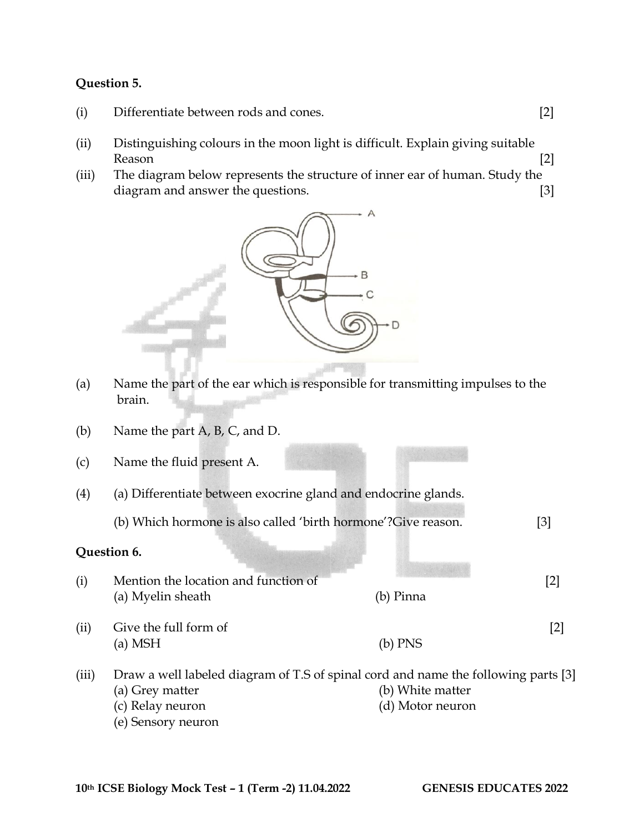#### **Question 5.**

- (i) Differentiate between rods and cones. [2]
- (ii) Distinguishing colours in the moon light is difficult. Explain giving suitable Reason [2]
- (iii) The diagram below represents the structure of inner ear of human. Study the diagram and answer the questions. [3]



- (a) Name the part of the ear which is responsible for transmitting impulses to the brain.
- (b) Name the part A, B, C, and D.
- (c) Name the fluid present A.
- (4) (a) Differentiate between exocrine gland and endocrine glands.
	- (b) Which hormone is also called 'birth hormone'?Give reason. [3]

#### **Question 6.**

- (i) Mention the location and function of [2] (a) Myelin sheath (b) Pinna (ii) Give the full form of [2] (a) MSH (b) PNS
- (iii) Draw a well labeled diagram of T.S of spinal cord and name the following parts [3] (a) Grey matter (b) White matter (c) Relay neuron (d) Motor neuron (e) Sensory neuron